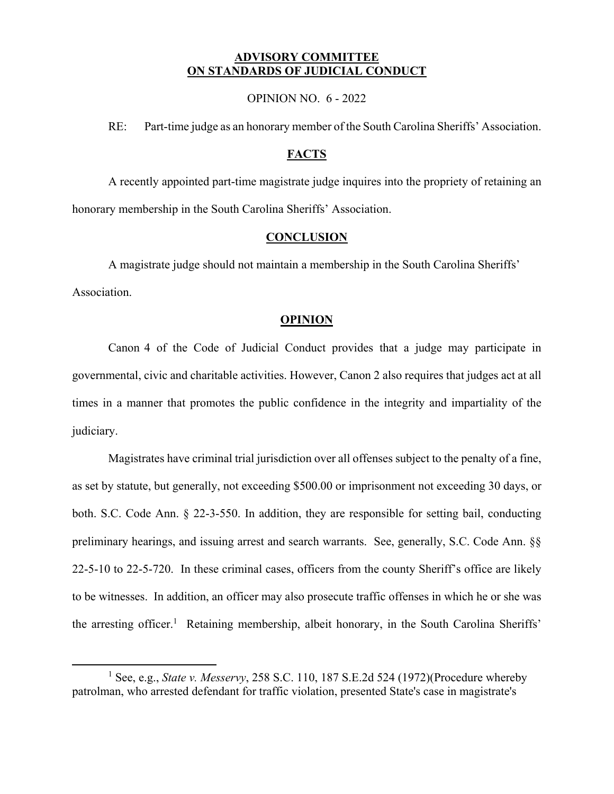## **ADVISORY COMMITTEE ON STANDARDS OF JUDICIAL CONDUCT**

OPINION NO. 6 - 2022

RE: Part-time judge as an honorary member of the South Carolina Sheriffs' Association.

## **FACTS**

A recently appointed part-time magistrate judge inquires into the propriety of retaining an honorary membership in the South Carolina Sheriffs' Association.

## **CONCLUSION**

A magistrate judge should not maintain a membership in the South Carolina Sheriffs' Association.

## **OPINION**

Canon 4 of the Code of Judicial Conduct provides that a judge may participate in governmental, civic and charitable activities. However, Canon 2 also requires that judges act at all times in a manner that promotes the public confidence in the integrity and impartiality of the judiciary.

Magistrates have criminal trial jurisdiction over all offenses subject to the penalty of a fine, as set by statute, but generally, not exceeding \$500.00 or imprisonment not exceeding 30 days, or both. S.C. Code Ann. § 22-3-550. In addition, they are responsible for setting bail, conducting preliminary hearings, and issuing arrest and search warrants. See, generally, S.C. Code Ann. §§ 22-5-10 to 22-5-720. In these criminal cases, officers from the county Sheriff's office are likely to be witnesses. In addition, an officer may also prosecute traffic offenses in which he or she was the arresting officer.<sup>1</sup> Retaining membership, albeit honorary, in the South Carolina Sheriffs'

<u>.</u>

<sup>1</sup> See, e.g., *State v. Messervy*, 258 S.C. 110, 187 S.E.2d 524 (1972)(Procedure whereby patrolman, who arrested defendant for traffic violation, presented State's case in magistrate's